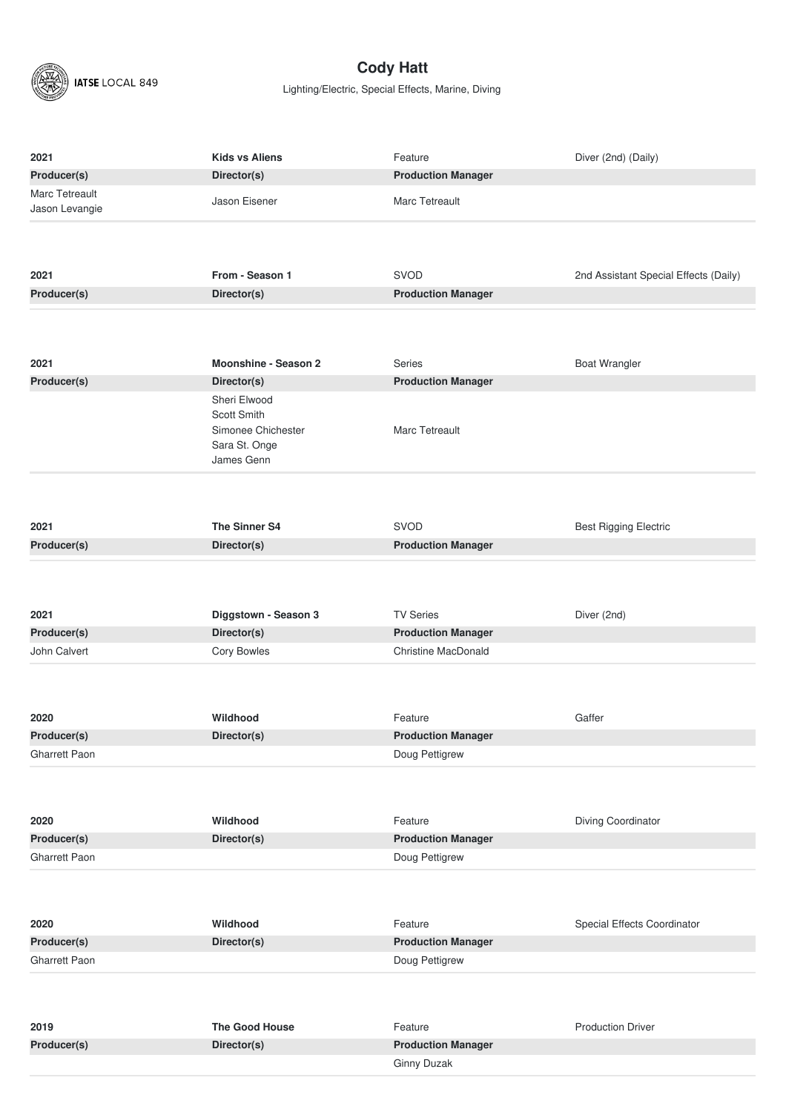

## **Cody Hatt**

Lighting/Electric, Special Effects, Marine, Diving

| 2021           | <b>Kids vs Aliens</b>               | Feature                                  | Diver (2nd) (Daily)                   |
|----------------|-------------------------------------|------------------------------------------|---------------------------------------|
| Producer(s)    | Director(s)                         | <b>Production Manager</b>                |                                       |
| Marc Tetreault | Jason Eisener                       | Marc Tetreault                           |                                       |
| Jason Levangie |                                     |                                          |                                       |
|                |                                     |                                          |                                       |
|                |                                     |                                          |                                       |
| 2021           | From - Season 1                     | <b>SVOD</b>                              | 2nd Assistant Special Effects (Daily) |
| Producer(s)    | Director(s)                         | <b>Production Manager</b>                |                                       |
|                |                                     |                                          |                                       |
|                |                                     |                                          |                                       |
| 2021           | Moonshine - Season 2                | Series                                   | <b>Boat Wrangler</b>                  |
| Producer(s)    | Director(s)                         | <b>Production Manager</b>                |                                       |
|                | Sheri Elwood                        |                                          |                                       |
|                | Scott Smith                         |                                          |                                       |
|                | Simonee Chichester<br>Sara St. Onge | Marc Tetreault                           |                                       |
|                | James Genn                          |                                          |                                       |
|                |                                     |                                          |                                       |
|                |                                     |                                          |                                       |
|                |                                     |                                          |                                       |
| 2021           | The Sinner S4                       | SVOD                                     | <b>Best Rigging Electric</b>          |
| Producer(s)    | Director(s)                         | <b>Production Manager</b>                |                                       |
|                |                                     |                                          |                                       |
|                |                                     |                                          |                                       |
| 2021           | Diggstown - Season 3                | <b>TV Series</b>                         | Diver (2nd)                           |
|                |                                     |                                          |                                       |
| Producer(s)    | Director(s)                         | <b>Production Manager</b>                |                                       |
| John Calvert   | Cory Bowles                         | <b>Christine MacDonald</b>               |                                       |
|                |                                     |                                          |                                       |
|                |                                     |                                          |                                       |
|                |                                     |                                          |                                       |
| 2020           | Wildhood                            | Feature                                  | Gaffer                                |
| Producer(s)    | Director(s)                         | <b>Production Manager</b>                |                                       |
| Gharrett Paon  |                                     | Doug Pettigrew                           |                                       |
|                |                                     |                                          |                                       |
|                |                                     |                                          |                                       |
| 2020           | Wildhood                            | Feature                                  | Diving Coordinator                    |
| Producer(s)    | Director(s)                         | <b>Production Manager</b>                |                                       |
| Gharrett Paon  |                                     | Doug Pettigrew                           |                                       |
|                |                                     |                                          |                                       |
|                |                                     |                                          |                                       |
| 2020           | Wildhood                            | Feature                                  | Special Effects Coordinator           |
| Producer(s)    | Director(s)                         | <b>Production Manager</b>                |                                       |
| Gharrett Paon  |                                     | Doug Pettigrew                           |                                       |
|                |                                     |                                          |                                       |
|                |                                     |                                          |                                       |
|                |                                     |                                          |                                       |
| 2019           | <b>The Good House</b>               | Feature                                  | <b>Production Driver</b>              |
| Producer(s)    | Director(s)                         | <b>Production Manager</b><br>Ginny Duzak |                                       |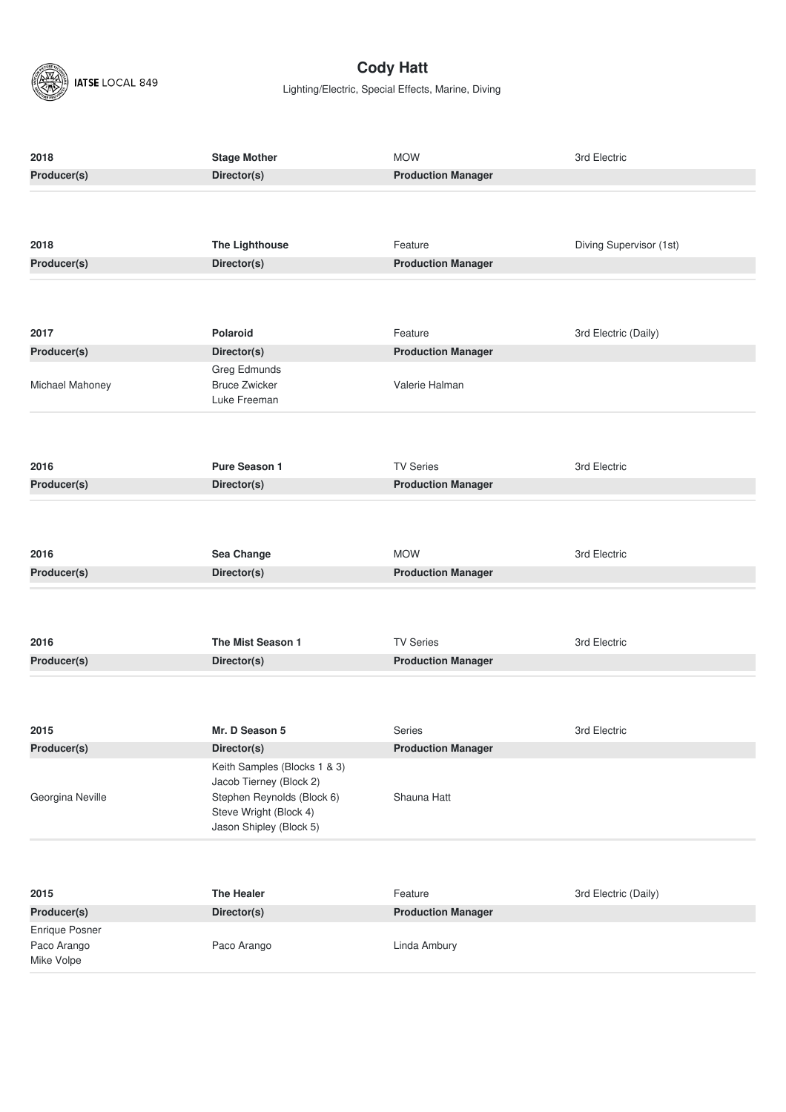$\mathbb{R}$ ) iatse local 849

## **Cody Hatt**

Lighting/Electric, Special Effects, Marine, Diving

| 2018                                        | <b>Stage Mother</b>                                                                                                                        | <b>MOW</b>                | 3rd Electric            |
|---------------------------------------------|--------------------------------------------------------------------------------------------------------------------------------------------|---------------------------|-------------------------|
| Producer(s)                                 | Director(s)                                                                                                                                | <b>Production Manager</b> |                         |
|                                             |                                                                                                                                            |                           |                         |
| 2018                                        | The Lighthouse                                                                                                                             | Feature                   | Diving Supervisor (1st) |
| Producer(s)                                 | Director(s)                                                                                                                                | <b>Production Manager</b> |                         |
|                                             |                                                                                                                                            |                           |                         |
| 2017                                        | Polaroid                                                                                                                                   | Feature                   | 3rd Electric (Daily)    |
| Producer(s)                                 | Director(s)                                                                                                                                | <b>Production Manager</b> |                         |
| Michael Mahoney                             | Greg Edmunds<br><b>Bruce Zwicker</b><br>Luke Freeman                                                                                       | Valerie Halman            |                         |
|                                             |                                                                                                                                            |                           |                         |
| 2016                                        | Pure Season 1                                                                                                                              | <b>TV Series</b>          | 3rd Electric            |
| Producer(s)                                 | Director(s)                                                                                                                                | <b>Production Manager</b> |                         |
| 2016                                        | Sea Change                                                                                                                                 | <b>MOW</b>                | 3rd Electric            |
| Producer(s)                                 | Director(s)                                                                                                                                | <b>Production Manager</b> |                         |
|                                             |                                                                                                                                            |                           |                         |
| 2016                                        | The Mist Season 1                                                                                                                          | <b>TV Series</b>          | 3rd Electric            |
| Producer(s)                                 | Director(s)                                                                                                                                | <b>Production Manager</b> |                         |
| 2015                                        | Mr. D Season 5                                                                                                                             | Series                    | 3rd Electric            |
| Producer(s)                                 | Director(s)                                                                                                                                | <b>Production Manager</b> |                         |
| Georgina Neville                            | Keith Samples (Blocks 1 & 3)<br>Jacob Tierney (Block 2)<br>Stephen Reynolds (Block 6)<br>Steve Wright (Block 4)<br>Jason Shipley (Block 5) | Shauna Hatt               |                         |
| 2015                                        | <b>The Healer</b>                                                                                                                          | Feature                   | 3rd Electric (Daily)    |
| Producer(s)                                 | Director(s)                                                                                                                                | <b>Production Manager</b> |                         |
| Enrique Posner<br>Paco Arango<br>Mike Volpe | Paco Arango                                                                                                                                | Linda Ambury              |                         |